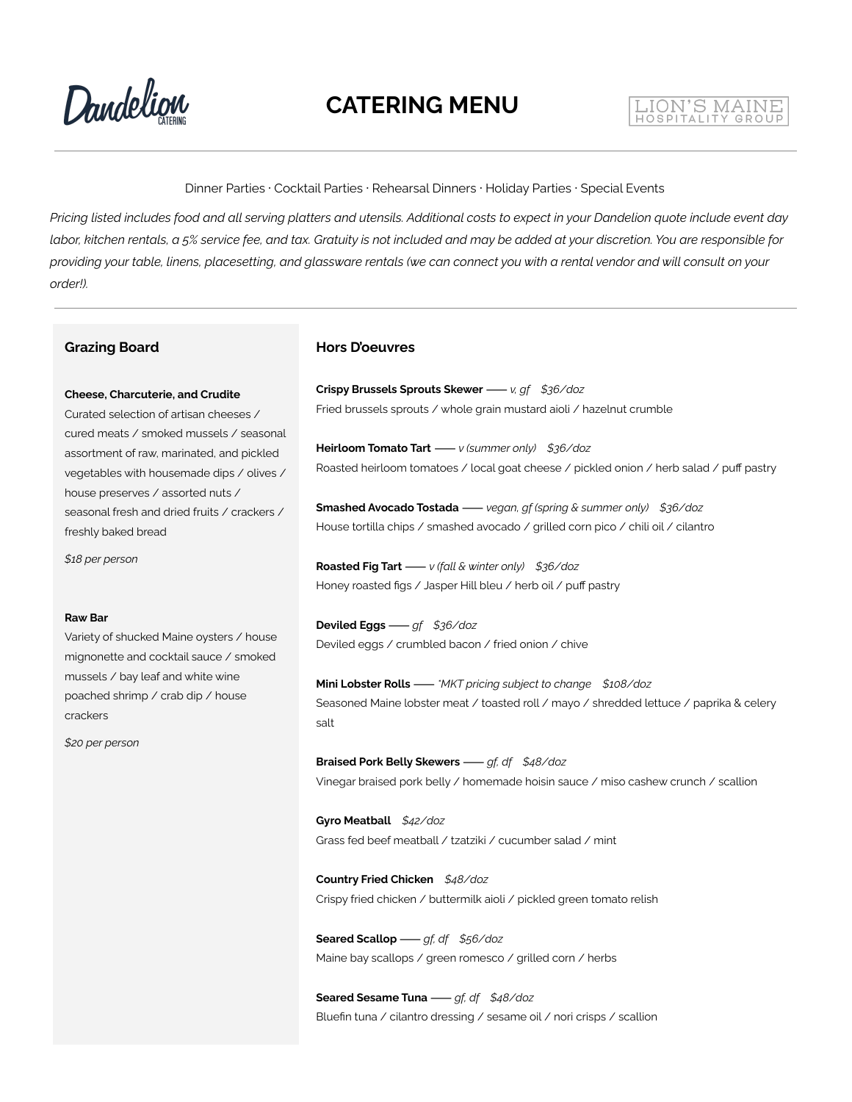Dandelign

#### LION'S MAINE HOSPITALITY GROU

Dinner Parties · Cocktail Parties · Rehearsal Dinners · Holiday Parties · Special Events

Pricing listed includes food and all serving platters and utensils. Additional costs to expect in your Dandelion quote include event day labor, kitchen rentals, a 5% service fee, and tax. Gratuity is not included and may be added at your discretion. You are responsible for providing your table, linens, placesetting, and glassware rentals (we can connect you with a rental vendor and will consult on your *order!).*

#### **Grazing Board**

#### **Cheese, Charcuterie, and Crudite**

Curated selection of artisan cheeses / cured meats / smoked mussels / seasonal assortment of raw, marinated, and pickled vegetables with housemade dips / olives / house preserves / assorted nuts / seasonal fresh and dried fruits / crackers / freshly baked bread

*\$18 per person*

#### **Raw Bar**

Variety of shucked Maine oysters / house mignonette and cocktail sauce / smoked mussels / bay leaf and white wine poached shrimp / crab dip / house crackers

*\$20 per person*

#### **Hors D'oeuvres**

**Crispy Brussels Sprouts Skewer**⸺*v, gf \$36/doz* Fried brussels sprouts / whole grain mustard aioli / hazelnut crumble

**Heirloom Tomato Tart**⸺*v (summer only) \$36/doz* Roasted heirloom tomatoes / local goat cheese / pickled onion / herb salad / puff pastry

**Smashed Avocado Tostada**⸺*vegan, gf (spring & summer only) \$36/doz* House tortilla chips / smashed avocado / grilled corn pico / chili oil / cilantro

**Roasted Fig Tart**⸺*v (fall & winter only) \$36/doz* Honey roasted figs / Jasper Hill bleu / herb oil / puff pastry

**Deviled Eggs**⸺*gf \$36/doz* Deviled eggs / crumbled bacon / fried onion / chive

**Mini Lobster Rolls**⸺*\*MKT pricing subject to change \$108/doz* Seasoned Maine lobster meat / toasted roll / mayo / shredded lettuce / paprika & celery salt

**Braised Pork Belly Skewers**⸺*gf, df \$48/doz* Vinegar braised pork belly / homemade hoisin sauce / miso cashew crunch / scallion

**Gyro Meatball** *\$42/doz* Grass fed beef meatball / tzatziki / cucumber salad / mint

**Country Fried Chicken** *\$48/doz* Crispy fried chicken / buttermilk aioli / pickled green tomato relish

**Seared Scallop**⸺*gf, df \$56/doz* Maine bay scallops / green romesco / grilled corn / herbs

**Seared Sesame Tuna**⸺*gf, df \$48/doz* Bluefin tuna / cilantro dressing / sesame oil / nori crisps / scallion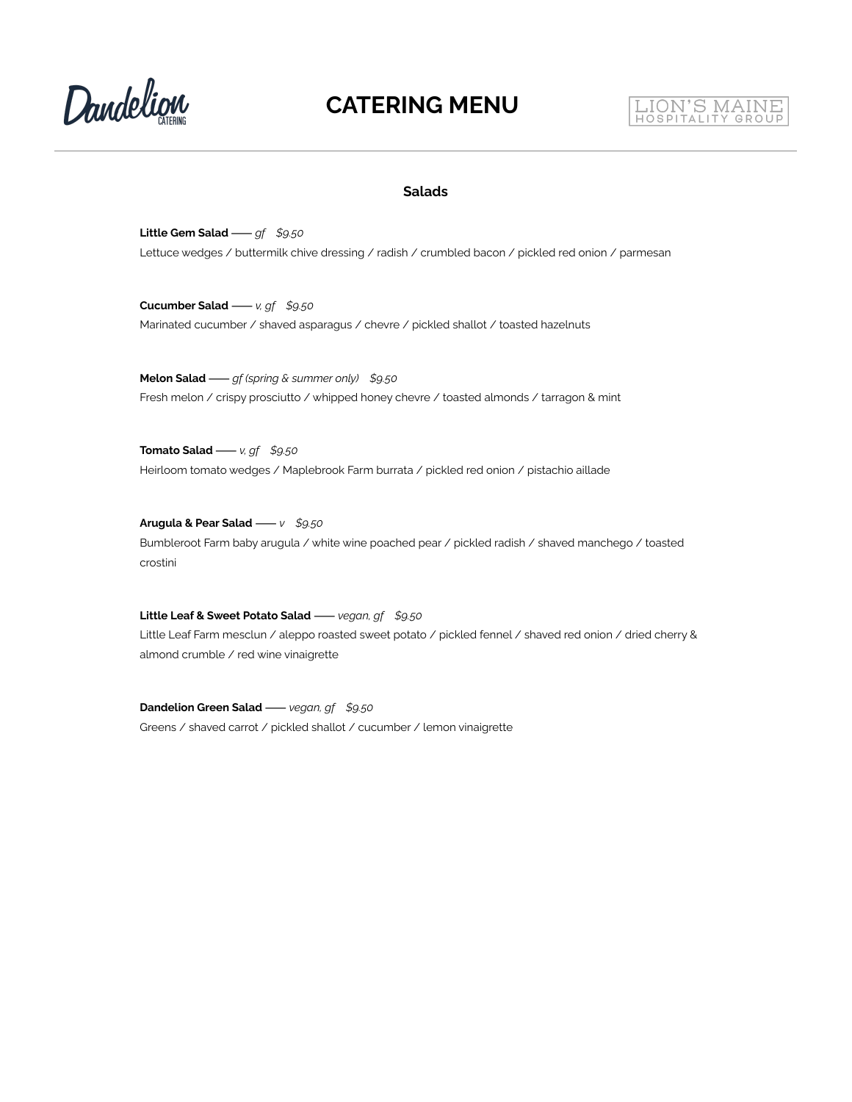Dandelign



#### **Salads**

**Little Gem Salad**⸺*gf \$9.50* Lettuce wedges / buttermilk chive dressing / radish / crumbled bacon / pickled red onion / parmesan

**Cucumber Salad**⸺*v, gf \$9.50* Marinated cucumber / shaved asparagus / chevre / pickled shallot / toasted hazelnuts

**Melon Salad**⸺*gf (spring & summer only) \$9.50* Fresh melon / crispy prosciutto / whipped honey chevre / toasted almonds / tarragon & mint

**Tomato Salad**⸺*v, gf \$9.50* Heirloom tomato wedges / Maplebrook Farm burrata / pickled red onion / pistachio aillade

**Arugula & Pear Salad**⸺*v \$9.50* Bumbleroot Farm baby arugula / white wine poached pear / pickled radish / shaved manchego / toasted crostini

**Little Leaf & Sweet Potato Salad**⸺*vegan, gf \$9.50* Little Leaf Farm mesclun / aleppo roasted sweet potato / pickled fennel / shaved red onion / dried cherry & almond crumble / red wine vinaigrette

**Dandelion Green Salad**⸺*vegan, gf \$9.50* Greens / shaved carrot / pickled shallot / cucumber / lemon vinaigrette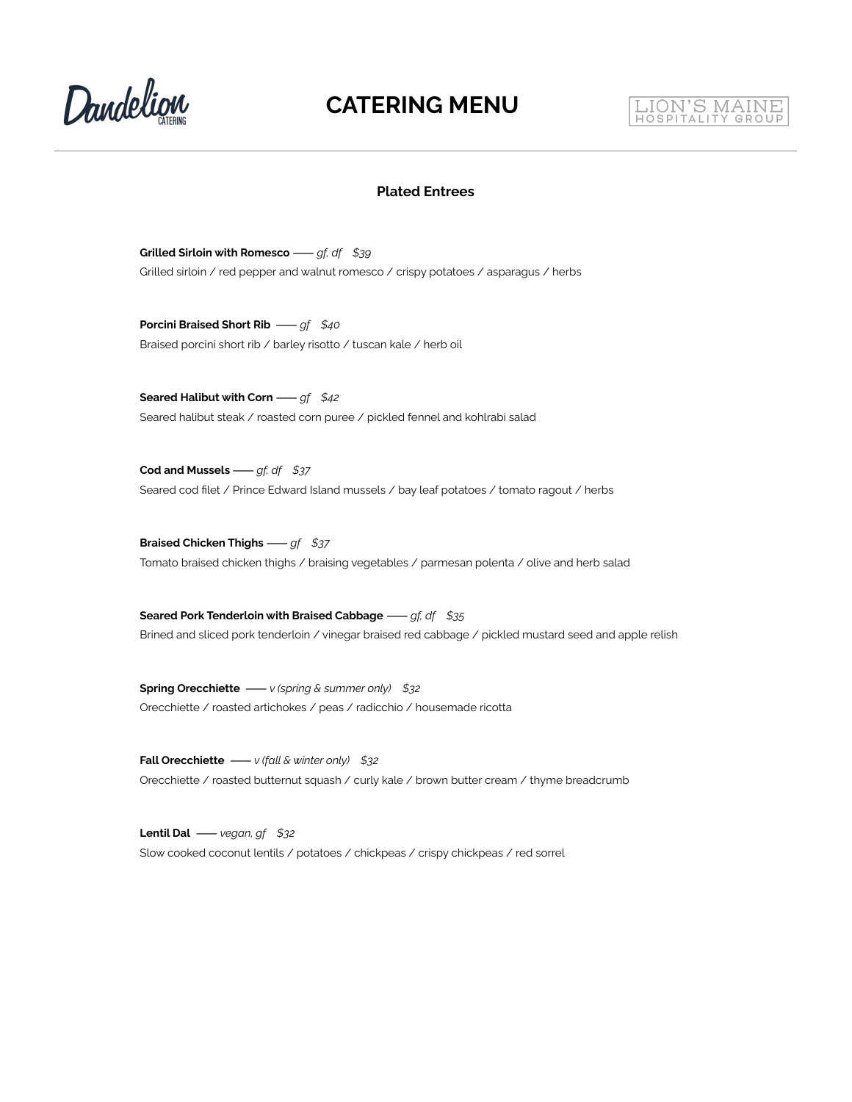

# LION'S MAINE

#### **Plated Entrees**

**Grilled Sirloin with Romesco**⸺*gf, df \$39* Grilled sirloin / red pepper and walnut romesco / crispy potatoes / asparagus / herbs

**Porcini Braised Short Rib** ⸺*gf \$40* Braised porcini short rib / barley risotto / tuscan kale / herb oil

**Seared Halibut with Corn**⸺*gf \$42* Seared halibut steak / roasted corn puree / pickled fennel and kohlrabi salad

**Cod and Mussels**⸺*gf, df \$37* Seared cod filet / Prince Edward Island mussels / bay leaf potatoes / tomato ragout / herbs

**Braised Chicken Thighs**⸺*gf \$37* Tomato braised chicken thighs / braising vegetables / parmesan polenta / olive and herb salad

**Seared Pork Tenderloin with Braised Cabbage**⸺*gf, df \$35* Brined and sliced pork tenderloin / vinegar braised red cabbage / pickled mustard seed and apple relish

**Spring Orecchiette** ⸺*v (spring & summer only) \$32* Orecchiette / roasted artichokes / peas / radicchio / housemade ricotta

**Fall Orecchiette** ⸺*v (fall & winter only) \$32* Orecchiette / roasted butternut squash / curly kale / brown butter cream / thyme breadcrumb

**Lentil Dal** ⸺*vegan, gf \$32* Slow cooked coconut lentils / potatoes / chickpeas / crispy chickpeas / red sorrel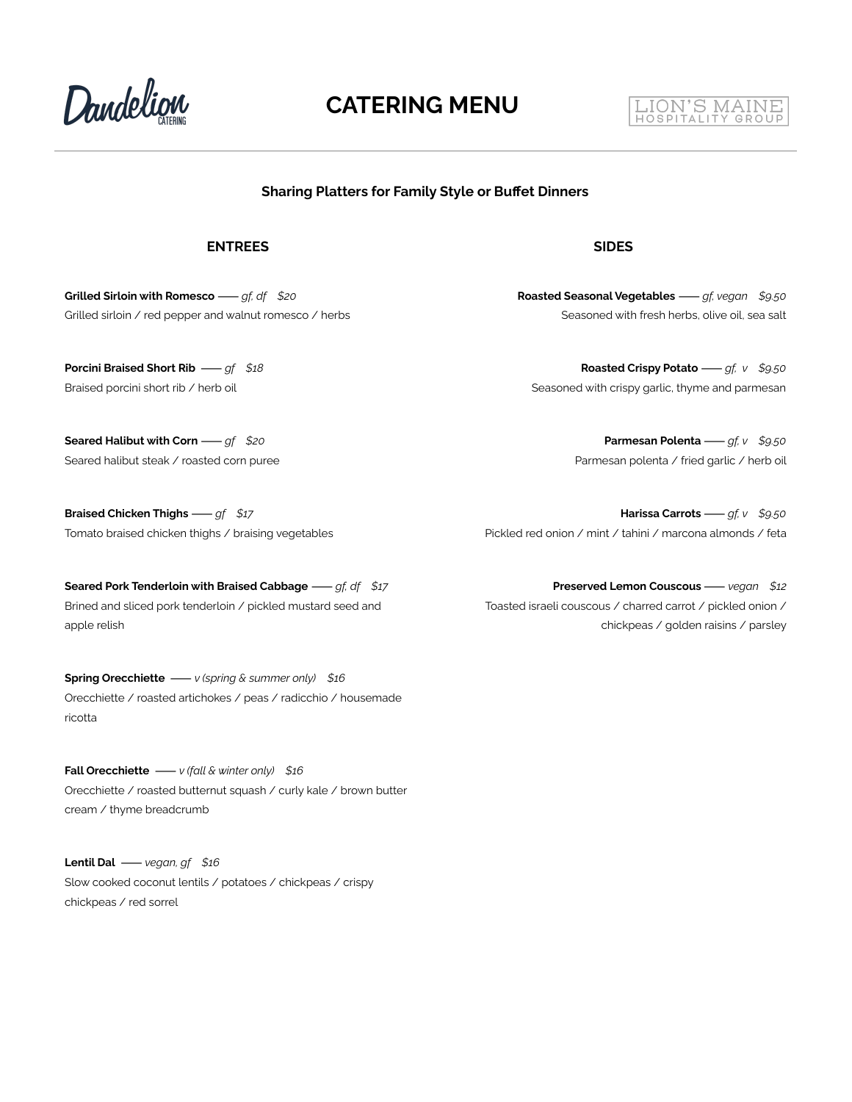

## **CATERING MENU**

#### **Sharing Platters for Family Style or Buffet Dinners**

#### **ENTREES SIDES**

**Grilled Sirloin with Romesco**⸺*gf, df \$20* Grilled sirloin / red pepper and walnut romesco / herbs

**Porcini Braised Short Rib** ⸺*gf \$18* Braised porcini short rib / herb oil

**Seared Halibut with Corn**⸺*gf \$20* Seared halibut steak / roasted corn puree

**Braised Chicken Thighs**⸺*gf \$17* Tomato braised chicken thighs / braising vegetables

**Seared Pork Tenderloin with Braised Cabbage**⸺*gf, df \$17* Brined and sliced pork tenderloin / pickled mustard seed and apple relish

**Spring Orecchiette** ⸺*v (spring & summer only) \$16* Orecchiette / roasted artichokes / peas / radicchio / housemade ricotta

**Fall Orecchiette** ⸺*v (fall & winter only) \$16* Orecchiette / roasted butternut squash / curly kale / brown butter cream / thyme breadcrumb

**Lentil Dal** ⸺*vegan, gf \$16* Slow cooked coconut lentils / potatoes / chickpeas / crispy chickpeas / red sorrel

**Roasted Seasonal Vegetables**⸺*gf, vegan \$9.50* Seasoned with fresh herbs, olive oil, sea salt

LION'S MAINE

**Roasted Crispy Potato**⸺*gf, v \$9.50* Seasoned with crispy garlic, thyme and parmesan

> **Parmesan Polenta**⸺*gf, v \$9.50* Parmesan polenta / fried garlic / herb oil

**Harissa Carrots**⸺*gf, v \$9.50* Pickled red onion / mint / tahini / marcona almonds / feta

**Preserved Lemon Couscous**⸺*vegan \$12* Toasted israeli couscous / charred carrot / pickled onion / chickpeas / golden raisins / parsley